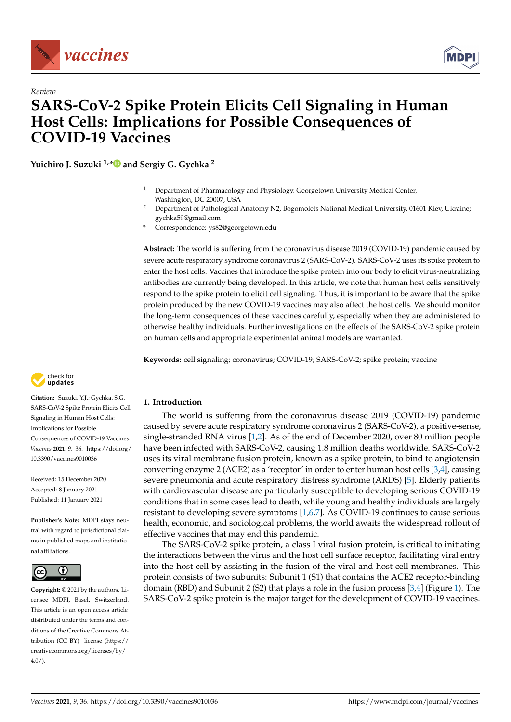



# *Review* **SARS-CoV-2 Spike Protein Elicits Cell Signaling in Human Host Cells: Implications for Possible Consequences of COVID-19 Vaccines**

**Yuichiro J. Suzuki 1,[\\*](https://orcid.org/0000-0001-6689-0497) and Sergiy G. Gychka <sup>2</sup>**

- <sup>1</sup> Department of Pharmacology and Physiology, Georgetown University Medical Center, Washington, DC 20007, USA
- <sup>2</sup> Department of Pathological Anatomy N2, Bogomolets National Medical University, 01601 Kiev, Ukraine; gychka59@gmail.com
- **\*** Correspondence: ys82@georgetown.edu

**Abstract:** The world is suffering from the coronavirus disease 2019 (COVID-19) pandemic caused by severe acute respiratory syndrome coronavirus 2 (SARS-CoV-2). SARS-CoV-2 uses its spike protein to enter the host cells. Vaccines that introduce the spike protein into our body to elicit virus-neutralizing antibodies are currently being developed. In this article, we note that human host cells sensitively respond to the spike protein to elicit cell signaling. Thus, it is important to be aware that the spike protein produced by the new COVID-19 vaccines may also affect the host cells. We should monitor the long-term consequences of these vaccines carefully, especially when they are administered to otherwise healthy individuals. Further investigations on the effects of the SARS-CoV-2 spike protein on human cells and appropriate experimental animal models are warranted.

**Keywords:** cell signaling; coronavirus; COVID-19; SARS-CoV-2; spike protein; vaccine



**Citation:** Suzuki, Y.J.; Gychka, S.G. SARS-CoV-2 Spike Protein Elicits Cell Signaling in Human Host Cells: Implications for Possible Consequences of COVID-19 Vaccines. *Vaccines* **2021**, *9*, 36. [https://doi.org/](https://doi.org/10.3390/vaccines9010036) [10.3390/vaccines9010036](https://doi.org/10.3390/vaccines9010036)

Received: 15 December 2020 Accepted: 8 January 2021 Published: 11 January 2021

**Publisher's Note:** MDPI stays neutral with regard to jurisdictional claims in published maps and institutional affiliations.



**Copyright:** © 2021 by the authors. Licensee MDPI, Basel, Switzerland. This article is an open access article distributed under the terms and conditions of the Creative Commons Attribution (CC BY) license [\(https://](https://creativecommons.org/licenses/by/4.0/) [creativecommons.org/licenses/by/](https://creativecommons.org/licenses/by/4.0/)  $4.0/$ ).

# **1. Introduction**

The world is suffering from the coronavirus disease 2019 (COVID-19) pandemic caused by severe acute respiratory syndrome coronavirus 2 (SARS-CoV-2), a positive-sense, single-stranded RNA virus [\[1](#page-5-0)[,2\]](#page-5-1). As of the end of December 2020, over 80 million people have been infected with SARS-CoV-2, causing 1.8 million deaths worldwide. SARS-CoV-2 uses its viral membrane fusion protein, known as a spike protein, to bind to angiotensin converting enzyme 2 (ACE2) as a 'receptor' in order to enter human host cells [\[3,](#page-5-2)[4\]](#page-5-3), causing severe pneumonia and acute respiratory distress syndrome (ARDS) [\[5\]](#page-5-4). Elderly patients with cardiovascular disease are particularly susceptible to developing serious COVID-19 conditions that in some cases lead to death, while young and healthy individuals are largely resistant to developing severe symptoms [\[1,](#page-5-0)[6,](#page-5-5)[7\]](#page-5-6). As COVID-19 continues to cause serious health, economic, and sociological problems, the world awaits the widespread rollout of effective vaccines that may end this pandemic.

The SARS-CoV-2 spike protein, a class I viral fusion protein, is critical to initiating the interactions between the virus and the host cell surface receptor, facilitating viral entry into the host cell by assisting in the fusion of the viral and host cell membranes. This protein consists of two subunits: Subunit 1 (S1) that contains the ACE2 receptor-binding domain (RBD) and Subunit 2 (S2) that plays a role in the fusion process [ $3,4$ ] (Figure [1\)](#page-1-0). The SARS-CoV-2 spike protein is the major target for the development of COVID-19 vaccines.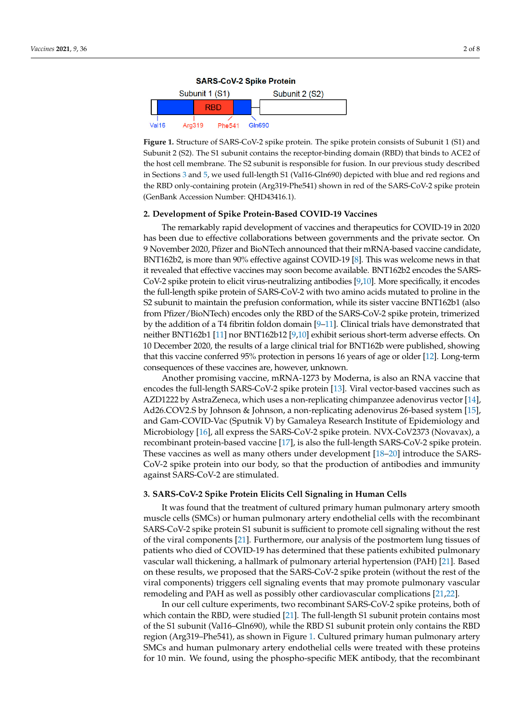<span id="page-1-0"></span>**Figure 1.** Structure of SARS-CoV-2 spike protein. The spike protein consists of Subunit 1 (S1) and  $\overline{SP}$ Subunit 2 (S2). The S1 subunit contains the receptor-binding domain (RBD) that binds to ACE2 of Subunit 2 (S2). The S1 subunit contains the receptor-binding domain (RBD) that binds to ACE2 of the host cell membrane. The S2 subunit is responsible for fusion. In our previous study described the host cell membrane. The S2 subunit is responsible for fusion. In our previous study described in Sections 3 [an](#page-1-1)d 5, we used full-length S1 (Val16-Gln690) depicted with blue and red regions and in Sections 3 and [5,](#page-3-0) we used full-length S1 (Val16-Gln690) depicted with blue and red regions and the RBD only-containing protein (Arg319-Phe541) shown in red of the SARS-CoV-2 spike protein the RBD only-containing protein (Arg319-Phe541) shown in red of the SARS-CoV-2 spike protein (GenBank Accession Number: QHD43416.1). (GenBank Accession Number: QHD43416.1).

# **2. Development of Spike Protein-Based COVID-19 Vaccines 2. Development of Spike Protein-Based COVID-19 Vaccines**

The remarkably rapid development of vaccines and therapeutics for COVID-19 in The remarkably rapid development of vaccines and therapeutics for COVID-19 in 2020 has been due to effective collaborations between governments and the private sector. On 9 November 2020, Pfizer and BioNTech announced that their mRNA-based vaccine candidate, BNT162b2, is more than 90% effective against COVID-19 [\[8\]](#page-5-7). This was welcome news in that it revealed that effective vaccines may soon become available. BNT162b2 encodes the SARS-<br>Contract the state of the SARS- $\text{Cov-2}$  spike protein to elicit virus-neutralizing antibodies [\[9](#page-5-8)[,10\]](#page-5-9). More specifically, it encodes  $\text{Cov-2}$ the full-length spike protein of SARS-CoV-2 with two amino acids mutated to proline in the  $\frac{1}{100}$ Exercise mutation and the prefusion conformation, while its sister vacente BNT102D1 (also from Pfizer/BioNTech) encodes only the RBD of the SARS-CoV-2 spike protein, trimerized by the addition of a T4 fibritin foldon domain  $[9-11]$  $[9-11]$ . Clinical trials have demonstrated that  $\frac{1}{2}$  spike domain of a T4 fibritin foldon domain  $\frac{1}{2}$   $\frac{1}{11}$ . Chinear that that the demonstrated that neither BNT162b1 [\[11\]](#page-5-10) nor BNT162b12 [\[9](#page-5-8)[,10\]](#page-5-9) exhibit serious short-term adverse effects. On 10 December 2020, the results of a large clinical trial for BNT162b were published, showing  $\mu$  between the straight serious short-term and  $\frac{1000}{2000}$  exhibit ship the results of an  $\mu$  and  $\sigma$  and  $\sigma$  and  $\sigma$  and  $\sigma$  and  $\sigma$  and  $\sigma$  and  $\sigma$  and  $\sigma$  and  $\sigma$  and  $\sigma$  and  $\sigma$  and  $\sigma$  and  $\sigma$  and that this vaccine conferred 95% protection in persons 16 years of age or older [\[12\]](#page-5-11). Long-term<br>conceaning of these vaccines are however, unknown S2 subunit to maintain the prefusion conformation, while its sister vaccine BNT162b1 (also consequences of these vaccines are, however, unknown.

Another promising vaccine, mRNA-1273 by Moderna, is also an RNA vaccine that encodes the full-length SARS-CoV-2 spike protein [\[13\]](#page-5-12). Viral vector-based vaccines such as AZD1222 by AstraZeneca, which uses a non-replicating chimpanzee adenovirus vector [\[14\]](#page-5-13), Ad26.COV2.S by Johnson & Johnson, a non-replicating adenovirus 26-based system [\[15\]](#page-6-0), and Gam-COVID-Vac (Sputnik V) by Gamaleya Research Institute of Epidemiology and Microbiology [\[16\]](#page-6-1), all express the SARS-CoV-2 spike protein. NVX-CoV2373 (Novavax), a recombinant protein-based vaccine [\[17\]](#page-6-2), is also the full-length SARS-CoV-2 spike protein. These vaccines as well as many others under development [\[18–](#page-6-3)[20\]](#page-6-4) introduce the SARS-CoV-2 spike protein into our body, so that the production of antibodies and immunity against SARS-CoV-2 are stimulated.

velopment [18–20] introduce the SARS-CoV-2 spike protein into our body, so that the

#### <span id="page-1-1"></span>3. SARS-CoV-2 Spike Protein Elicits Cell Signaling in Human Cells

muscle cells (SMCs) or human pulmonary artery endothelial cells with the recombinant SARS-CoV-2 spike protein S1 subunit is sufficient to promote cell signaling without the rest of the viral components [\[21\]](#page-6-5). Furthermore, our analysis of the postmortem lung tissues of patients who died of COVID-19 has determined that these patients exhibited pulmonary vascular wall thickening, a hallmark of pulmonary arterial hypertension (PAH) [\[21\]](#page-6-5). Based on these results, we proposed that the SARS-CoV-2 spike protein (without the rest of the viral components) triggers cell signaling events that may promote pulmonary vascular remodeling and PAH as well as possibly other cardiovascular complications [\[21,](#page-6-5)[22\]](#page-6-6). It was found that the treatment of cultured primary human pulmonary artery smooth

In our cell culture experiments, two recombinant SARS-CoV-2 spike proteins, both of which contain the RBD, were studied [\[21\]](#page-6-5). The full-length S1 subunit protein contains most of the S1 subunit (Val16–Gln690), while the RBD S1 subunit protein only contains the RBD region (Arg319–Phe541), as shown in Figure 1. Cultured primary human pulmonary artery SMCs and human pulmonary artery endothelial cells were treated with these proteins for 10 min. We found, using the phospho-specific MEK antibody, that the recombinant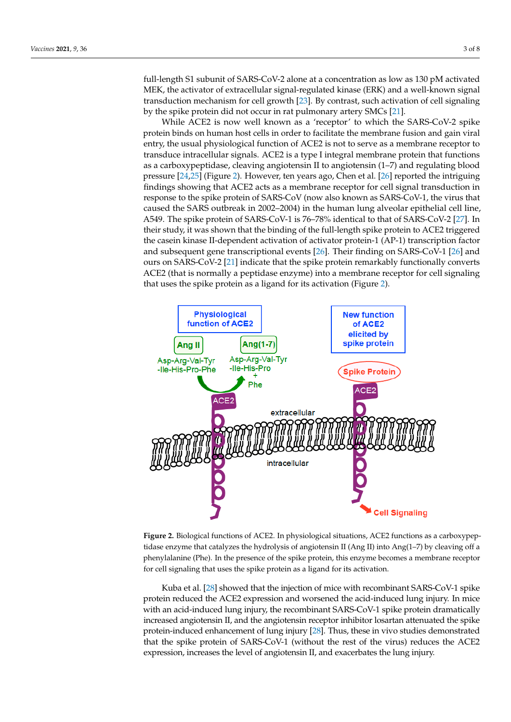full-length S1 subunit of SARS-CoV-2 alone at a concentration as low as 130 pM activated MEK, the activator of extracellular signal-regulated kinase (ERK) and a well-known signal transduction mechanism for cell growth [\[23\]](#page-6-7). By contrast, such activation of cell signaling by the spike protein did not occur in rat pulmonary artery SMCs [\[21\]](#page-6-5).

While ACE2 is now well known as a 'receptor' to which the SARS-CoV-2 spike protein binds on human host cells in order to facilitate the membrane fusion and gain viral entry, the usual physiological function of ACE2 is not to serve as a membrane receptor to transduce intracellular signals. ACE2 is a type I integral membrane protein that functions as a carboxypeptidase, cleaving angiotensin II to angiotensin (1-7) and regulating blood pressure [24,25] (Figure 2). However, ten years ago, Chen et al. [26] reported the intri[gui](#page-6-8)ng findings showing that ACE2 acts as a membrane receptor for cell signal transduction in response to the spike protein of SARS-CoV (now also known as SARS-CoV-1, the virus that caused the SARS outbreak in 2002–2004) in the human lung alveolar epithelial cell line, A549. The spike protein of SARS-CoV-1 is 76–78% identical to that of SARS-CoV-2 [27]. In their study, it was shown that the binding of the full-length spike protein to ACE2 triggered the casein kinase II-dependent activation of activator protein-1 (AP-1) transcription factor and subsequent gene transcriptional events  $[26]$ . Their finding on SARS-CoV-1  $[26]$  and ours on SARS-CoV-2 [\[21\]](#page-6-5) indicate that the spike protein remarkably functionally converts ACE2 (that is normally a peptidase enzyme) into a membrane receptor for cell signaling that uses the spike protein as a ligand for its activation (Figure [2\)](#page-2-0).

<span id="page-2-0"></span>

Figure 2. Biological functions of ACE2. In physiological situations, ACE2 functions as a carboxypeptidase enzyme that catalyzes the hydrolysis of angiotensin II (Ang II) into Ang(1-7) by cleaving off a phenylalanine (Phe). In the presence of the spike protein, this enzyme becomes a membrane receptor for cell signaling that uses the spike protein as a ligand for its activation.

Kuba et al. [\[28\]](#page-6-12) showed that the injection of mice with recombinant SARS-CoV-1 spike protein reduced the ACE2 expression and worsened the acid-induced lung injury. In mice with an acid-induced lung injury, the recombinant SARS-CoV-1 spike protein dramatically increased angiotensin II, and the angiotensin receptor inhibitor losartan attenuated the spike protein-induced enhancement of lung injury [\[28\]](#page-6-12). Thus, these in vivo studies demonstrated that the spike protein of SARS-CoV-1 (without the rest of the virus) reduces the ACE2 expression, increases the level of angiotensin II, and exacerbates the lung injury.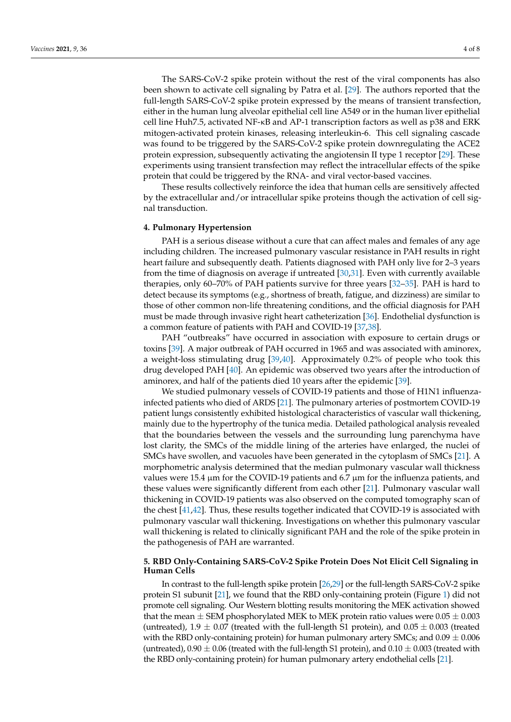The SARS-CoV-2 spike protein without the rest of the viral components has also been shown to activate cell signaling by Patra et al. [\[29\]](#page-6-13). The authors reported that the full-length SARS-CoV-2 spike protein expressed by the means of transient transfection, either in the human lung alveolar epithelial cell line A549 or in the human liver epithelial cell line Huh7.5, activated NF-κB and AP-1 transcription factors as well as p38 and ERK mitogen-activated protein kinases, releasing interleukin-6. This cell signaling cascade was found to be triggered by the SARS-CoV-2 spike protein downregulating the ACE2 protein expression, subsequently activating the angiotensin II type 1 receptor [\[29\]](#page-6-13). These experiments using transient transfection may reflect the intracellular effects of the spike protein that could be triggered by the RNA- and viral vector-based vaccines.

These results collectively reinforce the idea that human cells are sensitively affected by the extracellular and/or intracellular spike proteins though the activation of cell signal transduction.

#### **4. Pulmonary Hypertension**

PAH is a serious disease without a cure that can affect males and females of any age including children. The increased pulmonary vascular resistance in PAH results in right heart failure and subsequently death. Patients diagnosed with PAH only live for 2–3 years from the time of diagnosis on average if untreated  $[30,31]$  $[30,31]$ . Even with currently available therapies, only 60–70% of PAH patients survive for three years [\[32–](#page-6-16)[35\]](#page-6-17). PAH is hard to detect because its symptoms (e.g., shortness of breath, fatigue, and dizziness) are similar to those of other common non-life threatening conditions, and the official diagnosis for PAH must be made through invasive right heart catheterization [\[36\]](#page-6-18). Endothelial dysfunction is a common feature of patients with PAH and COVID-19 [\[37,](#page-6-19)[38\]](#page-6-20).

PAH "outbreaks" have occurred in association with exposure to certain drugs or toxins [\[39\]](#page-6-21). A major outbreak of PAH occurred in 1965 and was associated with aminorex, a weight-loss stimulating drug [\[39](#page-6-21)[,40\]](#page-6-22). Approximately 0.2% of people who took this drug developed PAH [\[40\]](#page-6-22). An epidemic was observed two years after the introduction of aminorex, and half of the patients died 10 years after the epidemic [\[39\]](#page-6-21).

We studied pulmonary vessels of COVID-19 patients and those of H1N1 influenzainfected patients who died of ARDS [\[21\]](#page-6-5). The pulmonary arteries of postmortem COVID-19 patient lungs consistently exhibited histological characteristics of vascular wall thickening, mainly due to the hypertrophy of the tunica media. Detailed pathological analysis revealed that the boundaries between the vessels and the surrounding lung parenchyma have lost clarity, the SMCs of the middle lining of the arteries have enlarged, the nuclei of SMCs have swollen, and vacuoles have been generated in the cytoplasm of SMCs [\[21\]](#page-6-5). A morphometric analysis determined that the median pulmonary vascular wall thickness values were 15.4  $\mu$ m for the COVID-19 patients and 6.7  $\mu$ m for the influenza patients, and these values were significantly different from each other [\[21\]](#page-6-5). Pulmonary vascular wall thickening in COVID-19 patients was also observed on the computed tomography scan of the chest [\[41,](#page-7-0)[42\]](#page-7-1). Thus, these results together indicated that COVID-19 is associated with pulmonary vascular wall thickening. Investigations on whether this pulmonary vascular wall thickening is related to clinically significant PAH and the role of the spike protein in the pathogenesis of PAH are warranted.

## <span id="page-3-0"></span>**5. RBD Only-Containing SARS-CoV-2 Spike Protein Does Not Elicit Cell Signaling in Human Cells**

In contrast to the full-length spike protein [\[26](#page-6-10)[,29\]](#page-6-13) or the full-length SARS-CoV-2 spike protein S1 subunit [\[21\]](#page-6-5), we found that the RBD only-containing protein (Figure [1\)](#page-1-0) did not promote cell signaling. Our Western blotting results monitoring the MEK activation showed that the mean  $\pm$  SEM phosphorylated MEK to MEK protein ratio values were 0.05  $\pm$  0.003 (untreated),  $1.9 \pm 0.07$  (treated with the full-length S1 protein), and  $0.05 \pm 0.003$  (treated with the RBD only-containing protein) for human pulmonary artery SMCs; and  $0.09 \pm 0.006$ (untreated),  $0.90 \pm 0.06$  (treated with the full-length S1 protein), and  $0.10 \pm 0.003$  (treated with the RBD only-containing protein) for human pulmonary artery endothelial cells [\[21\]](#page-6-5).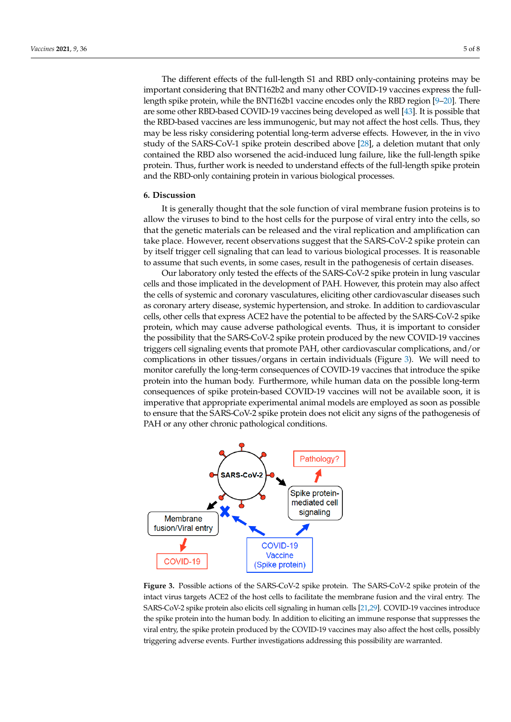The different effects of the full-length S1 and RBD only-containing proteins may be important considering that BNT162b2 and many other COVID-19 vaccines express the fulllength spike protein, while the BNT162b1 vaccine encodes only the RBD region [\[9–](#page-5-8)[20\]](#page-6-4). There are some other RBD-based COVID-19 vaccines being developed as well [\[43\]](#page-7-2). It is possible that the RBD-based vaccines are less immunogenic, but may not affect the host cells. Thus, they may be less risky considering potential long-term adverse effects. However, in the in vivo study of the SARS-CoV-1 spike protein described above [\[28\]](#page-6-12), a deletion mutant that only contained the RBD also worsened the acid-induced lung failure, like the full-length spike protein. Thus, further work is needed to understand effects of the full-length spike protein and the RBD-only containing protein in various biological processes.

#### **6. Discussion**

It is generally thought that the sole function of viral membrane fusion proteins is to allow the viruses to bind to the host cells for the purpose of viral entry into the cells, so that the genetic materials can be released and the viral replication and amplification can take place. However, recent observations suggest that the SARS-CoV-2 spike protein can by itself trigger cell signaling that can lead to various biological processes. It is reasonable to assume that such events, in some cases, result in the pathogenesis of certain diseases.

Our laboratory only tested the effects of the SARS-CoV-2 spike protein in lung vascular cells and those implicated in the development of PAH. However, this protein may also affect the cells of systemic and coronary vasculatures, eliciting other cardiovascular diseases such as coronary artery disease, systemic hypertension, and stroke. In addition to cardiovascular cells, other cells that express ACE2 have the potential to be affected by the SARS-CoV-2 spike protein, which may cause adverse pathological events. Thus, it is important to consider the possibility that the SARS-CoV-2 spike protein produced by the new COVID-19 vaccines triggers cell signaling events that promote PAH, other cardiovascular complications, and/or complications in other tissues/organs in certain individuals (Figure [3\)](#page-4-0). We will need to monitor carefully the long-term consequences of COVID-19 vaccines that introduce the spike protein into the human body. Furthermore, while human data on the possible long-term consequences of spike protein-based COVID-19 vaccines will not be available soon, it is imperative that appropriate experimental animal models are employed as soon as possible to ensure that the SARS-CoV-2 spike protein does not elicit any signs of the pathogenesis of PAH or any other chronic pathological conditions.

<span id="page-4-0"></span>

**Figure 3.** Possible actions of the SARS-CoV-2 spike protein. The SARS-CoV-2 spike protein of the **Figure 3.** Possible actions of the SARS-CoV-2 spike protein. The SARS-CoV-2 spike protein of the intact virus targets ACE2 of the host cells to facilitate the membrane fusion and the viral entry. The intact virus targets ACE2 of the host cells to facilitate the membrane fusion and the viral entry. The SARS-CoV-2 spike protein also elicits cell signaling in human cells [\[21,](#page-6-5)[29\]](#page-6-13). COVID-19 vaccines introduce the spike protein into the human body. In addition to eliciting an immune response that suppresses the viral entry, the spike protein produced by the COVID-19 vaccines may also affect the host cells, possibly triggering adverse events. Further investigations addressing this possibility are warranted. are warranted.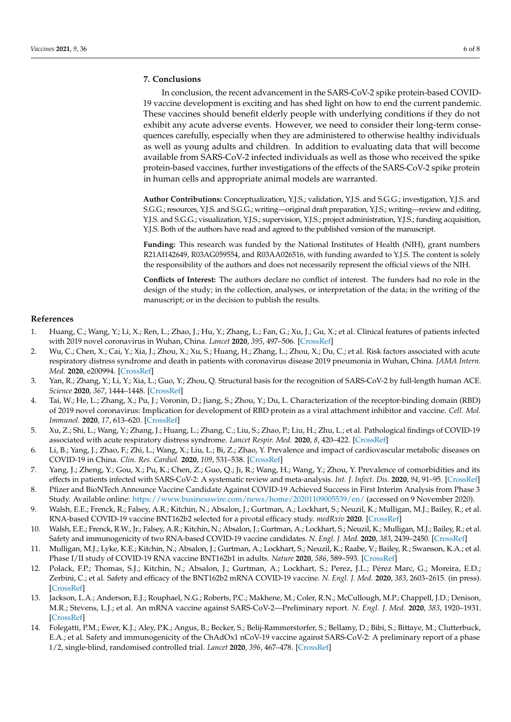### **7. Conclusions**

In conclusion, the recent advancement in the SARS-CoV-2 spike protein-based COVID-19 vaccine development is exciting and has shed light on how to end the current pandemic. These vaccines should benefit elderly people with underlying conditions if they do not exhibit any acute adverse events. However, we need to consider their long-term consequences carefully, especially when they are administered to otherwise healthy individuals as well as young adults and children. In addition to evaluating data that will become available from SARS-CoV-2 infected individuals as well as those who received the spike protein-based vaccines, further investigations of the effects of the SARS-CoV-2 spike protein in human cells and appropriate animal models are warranted.

**Author Contributions:** Conceptualization, Y.J.S.; validation, Y.J.S. and S.G.G.; investigation, Y.J.S. and S.G.G.; resources, Y.J.S. and S.G.G.; writing—original draft preparation, Y.J.S.; writing—review and editing, Y.J.S. and S.G.G.; visualization, Y.J.S.; supervision, Y.J.S.; project administration, Y.J.S.; funding acquisition, Y.J.S. Both of the authors have read and agreed to the published version of the manuscript.

**Funding:** This research was funded by the National Institutes of Health (NIH), grant numbers R21AI142649, R03AG059554, and R03AA026516, with funding awarded to Y.J.S. The content is solely the responsibility of the authors and does not necessarily represent the official views of the NIH.

**Conflicts of Interest:** The authors declare no conflict of interest. The funders had no role in the design of the study; in the collection, analyses, or interpretation of the data; in the writing of the manuscript; or in the decision to publish the results.

#### **References**

- <span id="page-5-0"></span>1. Huang, C.; Wang, Y.; Li, X.; Ren, L.; Zhao, J.; Hu, Y.; Zhang, L.; Fan, G.; Xu, J.; Gu, X.; et al. Clinical features of patients infected with 2019 novel coronavirus in Wuhan, China. *Lancet* **2020**, *395*, 497–506. [\[CrossRef\]](http://doi.org/10.1016/S0140-6736(20)30183-5)
- <span id="page-5-1"></span>2. Wu, C.; Chen, X.; Cai, Y.; Xia, J.; Zhou, X.; Xu, S.; Huang, H.; Zhang, L.; Zhou, X.; Du, C.; et al. Risk factors associated with acute respiratory distress syndrome and death in patients with coronavirus disease 2019 pneumonia in Wuhan, China. *JAMA Intern. Med.* **2020**, e200994. [\[CrossRef\]](http://doi.org/10.1001/jamainternmed.2020.0994)
- <span id="page-5-2"></span>3. Yan, R.; Zhang, Y.; Li, Y.; Xia, L.; Guo, Y.; Zhou, Q. Structural basis for the recognition of SARS-CoV-2 by full-length human ACE. *Science* **2020**, *367*, 1444–1448. [\[CrossRef\]](http://doi.org/10.1126/science.abb2762)
- <span id="page-5-3"></span>4. Tai, W.; He, L.; Zhang, X.; Pu, J.; Voronin, D.; Jiang, S.; Zhou, Y.; Du, L. Characterization of the receptor-binding domain (RBD) of 2019 novel coronavirus: Implication for development of RBD protein as a viral attachment inhibitor and vaccine. *Cell. Mol. Immunol.* **2020**, *17*, 613–620. [\[CrossRef\]](http://doi.org/10.1038/s41423-020-0400-4)
- <span id="page-5-4"></span>5. Xu, Z.; Shi, L.; Wang, Y.; Zhang, J.; Huang, L.; Zhang, C.; Liu, S.; Zhao, P.; Liu, H.; Zhu, L.; et al. Pathological findings of COVID-19 associated with acute respiratory distress syndrome. *Lancet Respir. Med.* **2020**, *8*, 420–422. [\[CrossRef\]](http://doi.org/10.1016/S2213-2600(20)30076-X)
- <span id="page-5-5"></span>6. Li, B.; Yang, J.; Zhao, F.; Zhi, L.; Wang, X.; Liu, L.; Bi, Z.; Zhao, Y. Prevalence and impact of cardiovascular metabolic diseases on COVID-19 in China. *Clin. Res. Cardiol.* **2020**, *109*, 531–538. [\[CrossRef\]](http://doi.org/10.1007/s00392-020-01626-9)
- <span id="page-5-6"></span>7. Yang, J.; Zheng, Y.; Gou, X.; Pu, K.; Chen, Z.; Guo, Q.; Ji, R.; Wang, H.; Wang, Y.; Zhou, Y. Prevalence of comorbidities and its effects in patients infected with SARS-CoV-2: A systematic review and meta-analysis. *Int. J. Infect. Dis.* **2020**, *94*, 91–95. [\[CrossRef\]](http://doi.org/10.1016/j.ijid.2020.03.017)
- <span id="page-5-7"></span>8. Pfizer and BioNTech Announce Vaccine Candidate Against COVID-19 Achieved Success in First Interim Analysis from Phase 3 Study. Available online: <https://www.businesswire.com/news/home/20201109005539/en/> (accessed on 9 November 2020).
- <span id="page-5-8"></span>9. Walsh, E.E.; Frenck, R.; Falsey, A.R.; Kitchin, N.; Absalon, J.; Gurtman, A.; Lockhart, S.; Neuzil, K.; Mulligan, M.J.; Bailey, R.; et al. RNA-based COVID-19 vaccine BNT162b2 selected for a pivotal efficacy study. *medRxiv* **2020**. [\[CrossRef\]](http://doi.org/10.1101/2020.08.17.20176651v2)
- <span id="page-5-9"></span>10. Walsh, E.E.; Frenck, R.W., Jr.; Falsey, A.R.; Kitchin, N.; Absalon, J.; Gurtman, A.; Lockhart, S.; Neuzil, K.; Mulligan, M.J.; Bailey, R.; et al. Safety and immunogenicity of two RNA-based COVID-19 vaccine candidates. *N. Engl. J. Med.* **2020**, *383*, 2439–2450. [\[CrossRef\]](http://doi.org/10.1056/NEJMoa2027906)
- <span id="page-5-10"></span>11. Mulligan, M.J.; Lyke, K.E.; Kitchin, N.; Absalon, J.; Gurtman, A.; Lockhart, S.; Neuzil, K.; Raabe, V.; Bailey, R.; Swanson, K.A.; et al. Phase I/II study of COVID-19 RNA vaccine BNT162b1 in adults. *Nature* **2020**, *586*, 589–593. [\[CrossRef\]](http://doi.org/10.1038/s41586-020-2639-4)
- <span id="page-5-11"></span>12. Polack, F.P.; Thomas, S.J.; Kitchin, N.; Absalon, J.; Gurtman, A.; Lockhart, S.; Perez, J.L.; Pérez Marc, G.; Moreira, E.D.; Zerbini, C.; et al. Safety and efficacy of the BNT162b2 mRNA COVID-19 vaccine. *N. Engl. J. Med.* **2020**, *383*, 2603–2615. (in press). [\[CrossRef\]](http://doi.org/10.1056/NEJMoa2034577)
- <span id="page-5-12"></span>13. Jackson, L.A.; Anderson, E.J.; Rouphael, N.G.; Roberts, P.C.; Makhene, M.; Coler, R.N.; McCullough, M.P.; Chappell, J.D.; Denison, M.R.; Stevens, L.J.; et al. An mRNA vaccine against SARS-CoV-2—Preliminary report. *N. Engl. J. Med.* **2020**, *383*, 1920–1931. [\[CrossRef\]](http://doi.org/10.1056/NEJMoa2022483)
- <span id="page-5-13"></span>14. Folegatti, P.M.; Ewer, K.J.; Aley, P.K.; Angus, B.; Becker, S.; Belij-Rammerstorfer, S.; Bellamy, D.; Bibi, S.; Bittaye, M.; Clutterbuck, E.A.; et al. Safety and immunogenicity of the ChAdOx1 nCoV-19 vaccine against SARS-CoV-2: A preliminary report of a phase 1/2, single-blind, randomised controlled trial. *Lancet* **2020**, *396*, 467–478. [\[CrossRef\]](http://doi.org/10.1016/S0140-6736(20)31604-4)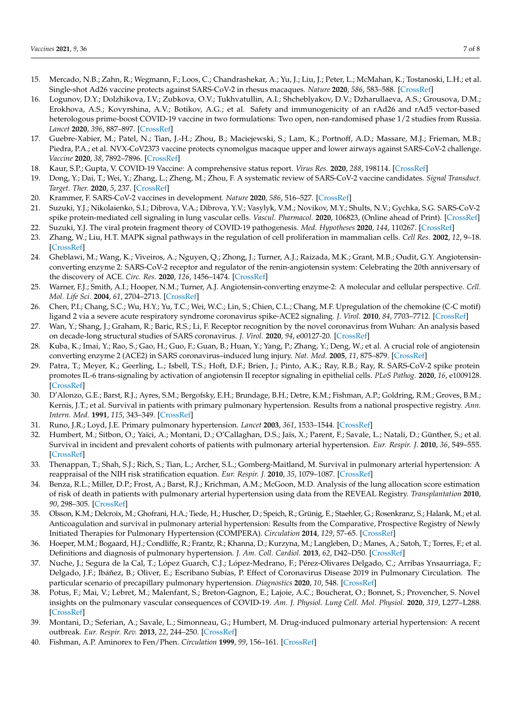- <span id="page-6-0"></span>15. Mercado, N.B.; Zahn, R.; Wegmann, F.; Loos, C.; Chandrashekar, A.; Yu, J.; Liu, J.; Peter, L.; McMahan, K.; Tostanoski, L.H.; et al. Single-shot Ad26 vaccine protects against SARS-CoV-2 in rhesus macaques. *Nature* **2020**, *586*, 583–588. [\[CrossRef\]](http://doi.org/10.1038/s41586-020-2607-z)
- <span id="page-6-1"></span>16. Logunov, D.Y.; Dolzhikova, I.V.; Zubkova, O.V.; Tukhvatullin, A.I.; Shcheblyakov, D.V.; Dzharullaeva, A.S.; Grousova, D.M.; Erokhova, A.S.; Kovyrshina, A.V.; Botikov, A.G.; et al. Safety and immunogenicity of an rAd26 and rAd5 vector-based heterologous prime-boost COVID-19 vaccine in two formulations: Two open, non-randomised phase 1/2 studies from Russia. *Lancet* **2020**, *396*, 887–897. [\[CrossRef\]](http://doi.org/10.1016/S0140-6736(20)31866-3)
- <span id="page-6-2"></span>17. Guebre-Xabier, M.; Patel, N.; Tian, J.-H.; Zhou, B.; Maciejewski, S.; Lam, K.; Portnoff, A.D.; Massare, M.J.; Frieman, M.B.; Piedra, P.A.; et al. NVX-CoV2373 vaccine protects cynomolgus macaque upper and lower airways against SARS-CoV-2 challenge. *Vaccine* **2020**, *38*, 7892–7896. [\[CrossRef\]](http://doi.org/10.1016/j.vaccine.2020.10.064)
- <span id="page-6-3"></span>18. Kaur, S.P.; Gupta, V. COVID-19 Vaccine: A comprehensive status report. *Virus Res.* **2020**, *288*, 198114. [\[CrossRef\]](http://doi.org/10.1016/j.virusres.2020.198114)
- 19. Dong, Y.; Dai, T.; Wei, Y.; Zhang, L.; Zheng, M.; Zhou, F. A systematic review of SARS-CoV-2 vaccine candidates. *Signal Transduct. Target. Ther.* **2020**, *5*, 237. [\[CrossRef\]](http://doi.org/10.1038/s41392-020-00352-y)
- <span id="page-6-4"></span>20. Krammer, F. SARS-CoV-2 vaccines in development. *Nature* **2020**, *586*, 516–527. [\[CrossRef\]](http://doi.org/10.1038/s41586-020-2798-3)
- <span id="page-6-5"></span>21. Suzuki, Y.J.; Nikolaienko, S.I.; Dibrova, V.A.; Dibrova, Y.V.; Vasylyk, V.M.; Novikov, M.Y.; Shults, N.V.; Gychka, S.G. SARS-CoV-2 spike protein-mediated cell signaling in lung vascular cells. *Vascul. Pharmacol.* **2020**, 106823, (Online ahead of Print). [\[CrossRef\]](http://doi.org/10.1016/j.vph.2020.106823)
- <span id="page-6-6"></span>22. Suzuki, Y.J. The viral protein fragment theory of COVID-19 pathogenesis. *Med. Hypotheses* **2020**, *144*, 110267. [\[CrossRef\]](http://doi.org/10.1016/j.mehy.2020.110267)
- <span id="page-6-7"></span>23. Zhang, W.; Liu, H.T. MAPK signal pathways in the regulation of cell proliferation in mammalian cells. *Cell Res.* **2002**, *12*, 9–18. [\[CrossRef\]](http://doi.org/10.1038/sj.cr.7290105)
- <span id="page-6-8"></span>24. Gheblawi, M.; Wang, K.; Viveiros, A.; Nguyen, Q.; Zhong, J.; Turner, A.J.; Raizada, M.K.; Grant, M.B.; Oudit, G.Y. Angiotensinconverting enzyme 2: SARS-CoV-2 receptor and regulator of the renin-angiotensin system: Celebrating the 20th anniversary of the discovery of ACE. *Circ. Res.* **2020**, *126*, 1456–1474. [\[CrossRef\]](http://doi.org/10.1161/CIRCRESAHA.120.317015)
- <span id="page-6-9"></span>25. Warner, F.J.; Smith, A.I.; Hooper, N.M.; Turner, A.J. Angiotensin-converting enzyme-2: A molecular and cellular perspective. *Cell. Mol. Life Sci.* **2004**, *61*, 2704–2713. [\[CrossRef\]](http://doi.org/10.1007/s00018-004-4240-7)
- <span id="page-6-10"></span>26. Chen, P.I.; Chang, S.C.; Wu, H.Y.; Yu, T.C.; Wei, W.C.; Lin, S.; Chien, C.L.; Chang, M.F. Upregulation of the chemokine (C-C motif) ligand 2 via a severe acute respiratory syndrome coronavirus spike-ACE2 signaling. *J. Virol.* **2010**, *84*, 7703–7712. [\[CrossRef\]](http://doi.org/10.1128/JVI.02560-09)
- <span id="page-6-11"></span>27. Wan, Y.; Shang, J.; Graham, R.; Baric, R.S.; Li, F. Receptor recognition by the novel coronavirus from Wuhan: An analysis based on decade-long structural studies of SARS coronavirus. *J. Virol.* **2020**, *94*, e00127-20. [\[CrossRef\]](http://doi.org/10.1128/JVI.00127-20)
- <span id="page-6-12"></span>28. Kuba, K.; Imai, Y.; Rao, S.; Gao, H.; Guo, F.; Guan, B.; Huan, Y.; Yang, P.; Zhang, Y.; Deng, W.; et al. A crucial role of angiotensin converting enzyme 2 (ACE2) in SARS coronavirus–induced lung injury. *Nat. Med.* **2005**, *11*, 875–879. [\[CrossRef\]](http://doi.org/10.1038/nm1267)
- <span id="page-6-13"></span>29. Patra, T.; Meyer, K.; Geerling, L.; Isbell, T.S.; Hoft, D.F.; Brien, J.; Pinto, A.K.; Ray, R.B.; Ray, R. SARS-CoV-2 spike protein promotes IL-6 trans-signaling by activation of angiotensin II receptor signaling in epithelial cells. *PLoS Pathog.* **2020**, *16*, e1009128. [\[CrossRef\]](http://doi.org/10.1371/journal.ppat.1009128)
- <span id="page-6-14"></span>30. D'Alonzo, G.E.; Barst, R.J.; Ayres, S.M.; Bergofsky, E.H.; Brundage, B.H.; Detre, K.M.; Fishman, A.P.; Goldring, R.M.; Groves, B.M.; Kernis, J.T.; et al. Survival in patients with primary pulmonary hypertension. Results from a national prospective registry. *Ann. Intern. Med.* **1991**, *115*, 343–349. [\[CrossRef\]](http://doi.org/10.7326/0003-4819-115-5-343)
- <span id="page-6-15"></span>31. Runo, J.R.; Loyd, J.E. Primary pulmonary hypertension. *Lancet* **2003**, *361*, 1533–1544. [\[CrossRef\]](http://doi.org/10.1016/S0140-6736(03)13167-4)
- <span id="page-6-16"></span>32. Humbert, M.; Sitbon, O.; Yaïci, A.; Montani, D.; O'Callaghan, D.S.; Jaïs, X.; Parent, F.; Savale, L.; Natali, D.; Günther, S.; et al. Survival in incident and prevalent cohorts of patients with pulmonary arterial hypertension. *Eur. Respir. J.* **2010**, *36*, 549–555. [\[CrossRef\]](http://doi.org/10.1183/09031936.00057010)
- 33. Thenappan, T.; Shah, S.J.; Rich, S.; Tian, L.; Archer, S.L.; Gomberg-Maitland, M. Survival in pulmonary arterial hypertension: A reappraisal of the NIH risk stratification equation. *Eur. Respir. J.* **2010**, *35*, 1079–1087. [\[CrossRef\]](http://doi.org/10.1183/09031936.00072709)
- 34. Benza, R.L.; Miller, D.P.; Frost, A.; Barst, R.J.; Krichman, A.M.; McGoon, M.D. Analysis of the lung allocation score estimation of risk of death in patients with pulmonary arterial hypertension using data from the REVEAL Registry. *Transplantation* **2010**, *90*, 298–305. [\[CrossRef\]](http://doi.org/10.1097/TP.0b013e3181e49b83)
- <span id="page-6-17"></span>35. Olsson, K.M.; Delcroix, M.; Ghofrani, H.A.; Tiede, H.; Huscher, D.; Speich, R.; Grünig, E.; Staehler, G.; Rosenkranz, S.; Halank, M.; et al. Anticoagulation and survival in pulmonary arterial hypertension: Results from the Comparative, Prospective Registry of Newly Initiated Therapies for Pulmonary Hypertension (COMPERA). *Circulation* **2014**, *129*, 57–65. [\[CrossRef\]](http://doi.org/10.1161/CIRCULATIONAHA.113.004526)
- <span id="page-6-18"></span>36. Hoeper, M.M.; Bogaard, H.J.; Condliffe, R.; Frantz, R.; Khanna, D.; Kurzyna, M.; Langleben, D.; Manes, A.; Satoh, T.; Torres, F.; et al. Definitions and diagnosis of pulmonary hypertension. *J. Am. Coll. Cardiol.* **2013**, *62*, D42–D50. [\[CrossRef\]](http://doi.org/10.1016/j.jacc.2013.10.032)
- <span id="page-6-19"></span>37. Nuche, J.; Segura de la Cal, T.; López Guarch, C.J.; López-Medrano, F.; Pérez-Olivares Delgado, C.; Arribas Ynsaurriaga, F.; Delgado, J.F.; Ibáñez, B.; Oliver, E.; Escribano Subías, P. Effect of Coronavirus Disease 2019 in Pulmonary Circulation. The particular scenario of precapillary pulmonary hypertension. *Diagnostics* **2020**, *10*, 548. [\[CrossRef\]](http://doi.org/10.3390/diagnostics10080548)
- <span id="page-6-20"></span>38. Potus, F.; Mai, V.; Lebret, M.; Malenfant, S.; Breton-Gagnon, E.; Lajoie, A.C.; Boucherat, O.; Bonnet, S.; Provencher, S. Novel insights on the pulmonary vascular consequences of COVID-19. *Am. J. Physiol. Lung Cell. Mol. Physiol.* **2020**, *319*, L277–L288. [\[CrossRef\]](http://doi.org/10.1152/ajplung.00195.2020)
- <span id="page-6-21"></span>39. Montani, D.; Seferian, A.; Savale, L.; Simonneau, G.; Humbert, M. Drug-induced pulmonary arterial hypertension: A recent outbreak. *Eur. Respir. Rev.* **2013**, *22*, 244–250. [\[CrossRef\]](http://doi.org/10.1183/09059180.00003313)
- <span id="page-6-22"></span>40. Fishman, A.P. Aminorex to Fen/Phen. *Circulation* **1999**, *99*, 156–161. [\[CrossRef\]](http://doi.org/10.1161/01.CIR.99.1.156)